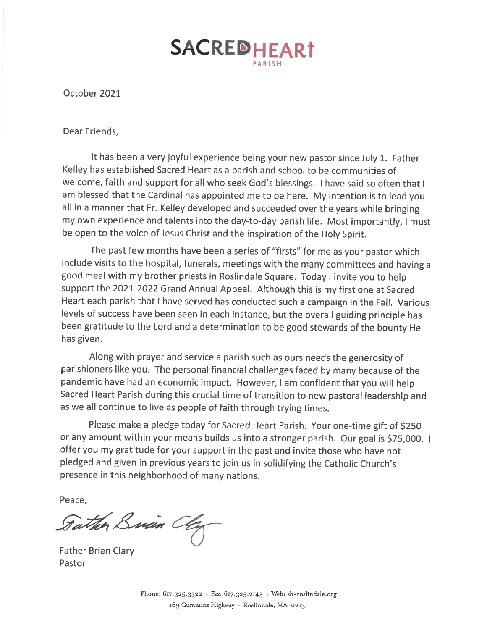## SACREDHEART

October 2021

Dear Friends,

It has been a very joyful experience being your new pastor since July 1. Father Kelley has established Sacred Heart as a parish and school to be communities of welcome, faith and support for all who seek God's blessings. I have said so often that I am blessed that the Cardinal has appointed me to be here. My intention is to lead you all in a manner that Fr. Kelley developed and succeeded over the years while bringing my own experience and talents into the day-to-day parish life. Most importantly, I must be open to the voice of Jesus Christ and the inspiration of the Holy Spirit.

The past few months have been a series of "firsts" for me as your pastor which include visits to the hospital, funerals, meetings with the many committees and having a good meal with my brother priests in Roslindale Square. Today I invite you to help support the 2021-2022 Grand Annual Appeal. Although this is my first one at Sacred Heart each parish that I have served has conducted such a campaign in the Fall. Various levels of success have been seen in each instance, but the overall guiding principle has been gratitude to the Lord and a determination to be good stewards of the bounty He has given.

Along with prayer and service a parish such as ours needs the generosity of parishioners like you. The personal financial challenges faced by many because of the pandemic have had an economic impact. However, I am confident that you will help Sacred Heart Parish during this crucial time of transition to new pastoral leadership and as we all continue to live as people of faith through trying times.

Please make a pledge today for Sacred Heart Parish. Your one-time gift of \$250 or any amount within your means builds us into a stronger parish. Our goal is \$75,000. I offer you my gratitude for your support in the past and invite those who have not pledged and given in previous years to join us in solidifying the Catholic Church's presence in this neighborhood of many nations.

Peace.

Father Brian Clay

**Father Brian Clary** Pastor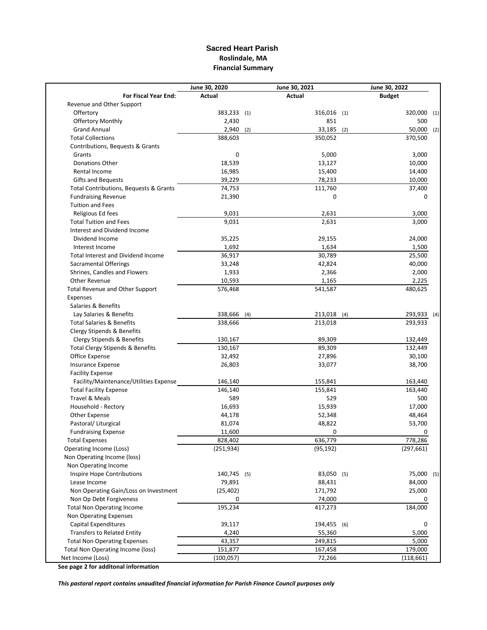## **Sacred Heart Parish Roslindale, MA Financial Summary**

| Actual<br>Actual<br>For Fiscal Year End:<br><b>Budget</b><br>Revenue and Other Support<br>Offertory<br>383,233 (1)<br>316,016 (1)<br>320,000<br><b>Offertory Monthly</b><br>2,430<br>851<br>500<br><b>Grand Annual</b><br>$2,940$ (2)<br>33,185<br>50,000<br>(2)<br><b>Total Collections</b><br>388,603<br>350,052<br>370,500<br>Contributions, Bequests & Grants<br>3,000<br>0<br>5,000<br>Grants<br>18,539<br>Donations Other<br>13,127<br>10,000<br>16,985<br>Rental Income<br>15,400<br>14,400<br>39,229<br>78,233<br>10,000<br><b>Gifts and Bequests</b><br>Total Contributions, Bequests & Grants<br>74,753<br>111,760<br>37,400<br>0<br><b>Fundraising Revenue</b><br>21,390<br>0<br><b>Tuition and Fees</b><br>Religious Ed fees<br>9,031<br>2,631<br>3,000<br>9,031<br>2,631<br>3,000<br><b>Total Tuition and Fees</b><br>Interest and Dividend Income<br>Dividend Income<br>35,225<br>29,155<br>24,000<br>1,692<br>1,634<br>Interest Income<br>1,500<br>36,917<br>30,789<br>25,500<br><b>Total Interest and Dividend Income</b><br><b>Sacramental Offerings</b><br>33,248<br>42,824<br>40,000<br>Shrines, Candles and Flowers<br>1,933<br>2,366<br>2,000<br>Other Revenue<br>10,593<br>1,165<br>2,225<br>541,587<br>480,625<br>Total Revenue and Other Support<br>576,468<br>Expenses<br>Salaries & Benefits<br>Lay Salaries & Benefits<br>338,666<br>213,018 (4)<br>(4)<br>293,933<br><b>Total Salaries &amp; Benefits</b><br>338,666<br>213,018<br>Clergy Stipends & Benefits<br>Clergy Stipends & Benefits<br>130,167<br>89,309<br>132,449<br>132,449<br><b>Total Clergy Stipends &amp; Benefits</b><br>130,167<br>89,309<br>Office Expense<br>32,492<br>27,896<br>30,100<br><b>Insurance Expense</b><br>26,803<br>33,077<br>38,700<br><b>Facility Expense</b><br>Facility/Maintenance/Utilities Expense<br>146,140<br>155,841<br>163,440<br><b>Total Facility Expense</b><br>146,140<br>155,841<br>163,440<br><b>Travel &amp; Meals</b><br>589<br>529<br>500<br>Household - Rectory<br>16,693<br>15,939<br>17,000<br>Other Expense<br>44,178<br>52,348<br>48,464<br>53,700<br>Pastoral/ Liturgical<br>81,074<br>48,822<br><b>Fundraising Expense</b><br>11,600<br>0<br>0<br><b>Total Expenses</b><br>828,402<br>636,779<br>778,286<br>(297, 661)<br>(251, 934)<br>(95, 192)<br>Operating Income (Loss)<br>Non Operating Income (loss)<br>Non Operating Income<br>Inspire Hope Contributions<br>140,745 (5)<br>83,050 (5)<br>Lease Income<br>79,891<br>88,431<br>84,000<br>25,000<br>Non Operating Gain/Loss on Investment<br>(25, 402)<br>171,792<br>Non Op Debt Forgiveness<br>0<br>74,000<br>0<br>195,234<br>184,000<br><b>Total Non Operating Income</b><br>417,273<br>Non Operating Expenses<br>Capital Expenditures<br>39,117<br>194,455 (6)<br>0<br><b>Transfers to Related Entity</b><br>4,240<br>55,360<br>5,000<br><b>Total Non Operating Expenses</b><br>43,357<br>249,815<br>5,000 | June 30, 2020 | June 30, 2021 | June 30, 2022 |  |
|-------------------------------------------------------------------------------------------------------------------------------------------------------------------------------------------------------------------------------------------------------------------------------------------------------------------------------------------------------------------------------------------------------------------------------------------------------------------------------------------------------------------------------------------------------------------------------------------------------------------------------------------------------------------------------------------------------------------------------------------------------------------------------------------------------------------------------------------------------------------------------------------------------------------------------------------------------------------------------------------------------------------------------------------------------------------------------------------------------------------------------------------------------------------------------------------------------------------------------------------------------------------------------------------------------------------------------------------------------------------------------------------------------------------------------------------------------------------------------------------------------------------------------------------------------------------------------------------------------------------------------------------------------------------------------------------------------------------------------------------------------------------------------------------------------------------------------------------------------------------------------------------------------------------------------------------------------------------------------------------------------------------------------------------------------------------------------------------------------------------------------------------------------------------------------------------------------------------------------------------------------------------------------------------------------------------------------------------------------------------------------------------------------------------------------------------------------------------------------------------------------------------------------------------------------------------------------------------------------------------------------------------------------------------------------------------------------------------------------------------------------------------------------------------------------------------------------------------------------------------------------------------------------------|---------------|---------------|---------------|--|
|                                                                                                                                                                                                                                                                                                                                                                                                                                                                                                                                                                                                                                                                                                                                                                                                                                                                                                                                                                                                                                                                                                                                                                                                                                                                                                                                                                                                                                                                                                                                                                                                                                                                                                                                                                                                                                                                                                                                                                                                                                                                                                                                                                                                                                                                                                                                                                                                                                                                                                                                                                                                                                                                                                                                                                                                                                                                                                             |               |               |               |  |
| (1)<br>(2)                                                                                                                                                                                                                                                                                                                                                                                                                                                                                                                                                                                                                                                                                                                                                                                                                                                                                                                                                                                                                                                                                                                                                                                                                                                                                                                                                                                                                                                                                                                                                                                                                                                                                                                                                                                                                                                                                                                                                                                                                                                                                                                                                                                                                                                                                                                                                                                                                                                                                                                                                                                                                                                                                                                                                                                                                                                                                                  |               |               |               |  |
|                                                                                                                                                                                                                                                                                                                                                                                                                                                                                                                                                                                                                                                                                                                                                                                                                                                                                                                                                                                                                                                                                                                                                                                                                                                                                                                                                                                                                                                                                                                                                                                                                                                                                                                                                                                                                                                                                                                                                                                                                                                                                                                                                                                                                                                                                                                                                                                                                                                                                                                                                                                                                                                                                                                                                                                                                                                                                                             |               |               |               |  |
|                                                                                                                                                                                                                                                                                                                                                                                                                                                                                                                                                                                                                                                                                                                                                                                                                                                                                                                                                                                                                                                                                                                                                                                                                                                                                                                                                                                                                                                                                                                                                                                                                                                                                                                                                                                                                                                                                                                                                                                                                                                                                                                                                                                                                                                                                                                                                                                                                                                                                                                                                                                                                                                                                                                                                                                                                                                                                                             |               |               |               |  |
|                                                                                                                                                                                                                                                                                                                                                                                                                                                                                                                                                                                                                                                                                                                                                                                                                                                                                                                                                                                                                                                                                                                                                                                                                                                                                                                                                                                                                                                                                                                                                                                                                                                                                                                                                                                                                                                                                                                                                                                                                                                                                                                                                                                                                                                                                                                                                                                                                                                                                                                                                                                                                                                                                                                                                                                                                                                                                                             |               |               |               |  |
|                                                                                                                                                                                                                                                                                                                                                                                                                                                                                                                                                                                                                                                                                                                                                                                                                                                                                                                                                                                                                                                                                                                                                                                                                                                                                                                                                                                                                                                                                                                                                                                                                                                                                                                                                                                                                                                                                                                                                                                                                                                                                                                                                                                                                                                                                                                                                                                                                                                                                                                                                                                                                                                                                                                                                                                                                                                                                                             |               |               |               |  |
| 293,933 (4)<br>75,000 (5)                                                                                                                                                                                                                                                                                                                                                                                                                                                                                                                                                                                                                                                                                                                                                                                                                                                                                                                                                                                                                                                                                                                                                                                                                                                                                                                                                                                                                                                                                                                                                                                                                                                                                                                                                                                                                                                                                                                                                                                                                                                                                                                                                                                                                                                                                                                                                                                                                                                                                                                                                                                                                                                                                                                                                                                                                                                                                   |               |               |               |  |
|                                                                                                                                                                                                                                                                                                                                                                                                                                                                                                                                                                                                                                                                                                                                                                                                                                                                                                                                                                                                                                                                                                                                                                                                                                                                                                                                                                                                                                                                                                                                                                                                                                                                                                                                                                                                                                                                                                                                                                                                                                                                                                                                                                                                                                                                                                                                                                                                                                                                                                                                                                                                                                                                                                                                                                                                                                                                                                             |               |               |               |  |
|                                                                                                                                                                                                                                                                                                                                                                                                                                                                                                                                                                                                                                                                                                                                                                                                                                                                                                                                                                                                                                                                                                                                                                                                                                                                                                                                                                                                                                                                                                                                                                                                                                                                                                                                                                                                                                                                                                                                                                                                                                                                                                                                                                                                                                                                                                                                                                                                                                                                                                                                                                                                                                                                                                                                                                                                                                                                                                             |               |               |               |  |
|                                                                                                                                                                                                                                                                                                                                                                                                                                                                                                                                                                                                                                                                                                                                                                                                                                                                                                                                                                                                                                                                                                                                                                                                                                                                                                                                                                                                                                                                                                                                                                                                                                                                                                                                                                                                                                                                                                                                                                                                                                                                                                                                                                                                                                                                                                                                                                                                                                                                                                                                                                                                                                                                                                                                                                                                                                                                                                             |               |               |               |  |
|                                                                                                                                                                                                                                                                                                                                                                                                                                                                                                                                                                                                                                                                                                                                                                                                                                                                                                                                                                                                                                                                                                                                                                                                                                                                                                                                                                                                                                                                                                                                                                                                                                                                                                                                                                                                                                                                                                                                                                                                                                                                                                                                                                                                                                                                                                                                                                                                                                                                                                                                                                                                                                                                                                                                                                                                                                                                                                             |               |               |               |  |
|                                                                                                                                                                                                                                                                                                                                                                                                                                                                                                                                                                                                                                                                                                                                                                                                                                                                                                                                                                                                                                                                                                                                                                                                                                                                                                                                                                                                                                                                                                                                                                                                                                                                                                                                                                                                                                                                                                                                                                                                                                                                                                                                                                                                                                                                                                                                                                                                                                                                                                                                                                                                                                                                                                                                                                                                                                                                                                             |               |               |               |  |
|                                                                                                                                                                                                                                                                                                                                                                                                                                                                                                                                                                                                                                                                                                                                                                                                                                                                                                                                                                                                                                                                                                                                                                                                                                                                                                                                                                                                                                                                                                                                                                                                                                                                                                                                                                                                                                                                                                                                                                                                                                                                                                                                                                                                                                                                                                                                                                                                                                                                                                                                                                                                                                                                                                                                                                                                                                                                                                             |               |               |               |  |
|                                                                                                                                                                                                                                                                                                                                                                                                                                                                                                                                                                                                                                                                                                                                                                                                                                                                                                                                                                                                                                                                                                                                                                                                                                                                                                                                                                                                                                                                                                                                                                                                                                                                                                                                                                                                                                                                                                                                                                                                                                                                                                                                                                                                                                                                                                                                                                                                                                                                                                                                                                                                                                                                                                                                                                                                                                                                                                             |               |               |               |  |
|                                                                                                                                                                                                                                                                                                                                                                                                                                                                                                                                                                                                                                                                                                                                                                                                                                                                                                                                                                                                                                                                                                                                                                                                                                                                                                                                                                                                                                                                                                                                                                                                                                                                                                                                                                                                                                                                                                                                                                                                                                                                                                                                                                                                                                                                                                                                                                                                                                                                                                                                                                                                                                                                                                                                                                                                                                                                                                             |               |               |               |  |
|                                                                                                                                                                                                                                                                                                                                                                                                                                                                                                                                                                                                                                                                                                                                                                                                                                                                                                                                                                                                                                                                                                                                                                                                                                                                                                                                                                                                                                                                                                                                                                                                                                                                                                                                                                                                                                                                                                                                                                                                                                                                                                                                                                                                                                                                                                                                                                                                                                                                                                                                                                                                                                                                                                                                                                                                                                                                                                             |               |               |               |  |
|                                                                                                                                                                                                                                                                                                                                                                                                                                                                                                                                                                                                                                                                                                                                                                                                                                                                                                                                                                                                                                                                                                                                                                                                                                                                                                                                                                                                                                                                                                                                                                                                                                                                                                                                                                                                                                                                                                                                                                                                                                                                                                                                                                                                                                                                                                                                                                                                                                                                                                                                                                                                                                                                                                                                                                                                                                                                                                             |               |               |               |  |
|                                                                                                                                                                                                                                                                                                                                                                                                                                                                                                                                                                                                                                                                                                                                                                                                                                                                                                                                                                                                                                                                                                                                                                                                                                                                                                                                                                                                                                                                                                                                                                                                                                                                                                                                                                                                                                                                                                                                                                                                                                                                                                                                                                                                                                                                                                                                                                                                                                                                                                                                                                                                                                                                                                                                                                                                                                                                                                             |               |               |               |  |
|                                                                                                                                                                                                                                                                                                                                                                                                                                                                                                                                                                                                                                                                                                                                                                                                                                                                                                                                                                                                                                                                                                                                                                                                                                                                                                                                                                                                                                                                                                                                                                                                                                                                                                                                                                                                                                                                                                                                                                                                                                                                                                                                                                                                                                                                                                                                                                                                                                                                                                                                                                                                                                                                                                                                                                                                                                                                                                             |               |               |               |  |
|                                                                                                                                                                                                                                                                                                                                                                                                                                                                                                                                                                                                                                                                                                                                                                                                                                                                                                                                                                                                                                                                                                                                                                                                                                                                                                                                                                                                                                                                                                                                                                                                                                                                                                                                                                                                                                                                                                                                                                                                                                                                                                                                                                                                                                                                                                                                                                                                                                                                                                                                                                                                                                                                                                                                                                                                                                                                                                             |               |               |               |  |
|                                                                                                                                                                                                                                                                                                                                                                                                                                                                                                                                                                                                                                                                                                                                                                                                                                                                                                                                                                                                                                                                                                                                                                                                                                                                                                                                                                                                                                                                                                                                                                                                                                                                                                                                                                                                                                                                                                                                                                                                                                                                                                                                                                                                                                                                                                                                                                                                                                                                                                                                                                                                                                                                                                                                                                                                                                                                                                             |               |               |               |  |
|                                                                                                                                                                                                                                                                                                                                                                                                                                                                                                                                                                                                                                                                                                                                                                                                                                                                                                                                                                                                                                                                                                                                                                                                                                                                                                                                                                                                                                                                                                                                                                                                                                                                                                                                                                                                                                                                                                                                                                                                                                                                                                                                                                                                                                                                                                                                                                                                                                                                                                                                                                                                                                                                                                                                                                                                                                                                                                             |               |               |               |  |
|                                                                                                                                                                                                                                                                                                                                                                                                                                                                                                                                                                                                                                                                                                                                                                                                                                                                                                                                                                                                                                                                                                                                                                                                                                                                                                                                                                                                                                                                                                                                                                                                                                                                                                                                                                                                                                                                                                                                                                                                                                                                                                                                                                                                                                                                                                                                                                                                                                                                                                                                                                                                                                                                                                                                                                                                                                                                                                             |               |               |               |  |
|                                                                                                                                                                                                                                                                                                                                                                                                                                                                                                                                                                                                                                                                                                                                                                                                                                                                                                                                                                                                                                                                                                                                                                                                                                                                                                                                                                                                                                                                                                                                                                                                                                                                                                                                                                                                                                                                                                                                                                                                                                                                                                                                                                                                                                                                                                                                                                                                                                                                                                                                                                                                                                                                                                                                                                                                                                                                                                             |               |               |               |  |
|                                                                                                                                                                                                                                                                                                                                                                                                                                                                                                                                                                                                                                                                                                                                                                                                                                                                                                                                                                                                                                                                                                                                                                                                                                                                                                                                                                                                                                                                                                                                                                                                                                                                                                                                                                                                                                                                                                                                                                                                                                                                                                                                                                                                                                                                                                                                                                                                                                                                                                                                                                                                                                                                                                                                                                                                                                                                                                             |               |               |               |  |
|                                                                                                                                                                                                                                                                                                                                                                                                                                                                                                                                                                                                                                                                                                                                                                                                                                                                                                                                                                                                                                                                                                                                                                                                                                                                                                                                                                                                                                                                                                                                                                                                                                                                                                                                                                                                                                                                                                                                                                                                                                                                                                                                                                                                                                                                                                                                                                                                                                                                                                                                                                                                                                                                                                                                                                                                                                                                                                             |               |               |               |  |
|                                                                                                                                                                                                                                                                                                                                                                                                                                                                                                                                                                                                                                                                                                                                                                                                                                                                                                                                                                                                                                                                                                                                                                                                                                                                                                                                                                                                                                                                                                                                                                                                                                                                                                                                                                                                                                                                                                                                                                                                                                                                                                                                                                                                                                                                                                                                                                                                                                                                                                                                                                                                                                                                                                                                                                                                                                                                                                             |               |               |               |  |
|                                                                                                                                                                                                                                                                                                                                                                                                                                                                                                                                                                                                                                                                                                                                                                                                                                                                                                                                                                                                                                                                                                                                                                                                                                                                                                                                                                                                                                                                                                                                                                                                                                                                                                                                                                                                                                                                                                                                                                                                                                                                                                                                                                                                                                                                                                                                                                                                                                                                                                                                                                                                                                                                                                                                                                                                                                                                                                             |               |               |               |  |
|                                                                                                                                                                                                                                                                                                                                                                                                                                                                                                                                                                                                                                                                                                                                                                                                                                                                                                                                                                                                                                                                                                                                                                                                                                                                                                                                                                                                                                                                                                                                                                                                                                                                                                                                                                                                                                                                                                                                                                                                                                                                                                                                                                                                                                                                                                                                                                                                                                                                                                                                                                                                                                                                                                                                                                                                                                                                                                             |               |               |               |  |
|                                                                                                                                                                                                                                                                                                                                                                                                                                                                                                                                                                                                                                                                                                                                                                                                                                                                                                                                                                                                                                                                                                                                                                                                                                                                                                                                                                                                                                                                                                                                                                                                                                                                                                                                                                                                                                                                                                                                                                                                                                                                                                                                                                                                                                                                                                                                                                                                                                                                                                                                                                                                                                                                                                                                                                                                                                                                                                             |               |               |               |  |
|                                                                                                                                                                                                                                                                                                                                                                                                                                                                                                                                                                                                                                                                                                                                                                                                                                                                                                                                                                                                                                                                                                                                                                                                                                                                                                                                                                                                                                                                                                                                                                                                                                                                                                                                                                                                                                                                                                                                                                                                                                                                                                                                                                                                                                                                                                                                                                                                                                                                                                                                                                                                                                                                                                                                                                                                                                                                                                             |               |               |               |  |
|                                                                                                                                                                                                                                                                                                                                                                                                                                                                                                                                                                                                                                                                                                                                                                                                                                                                                                                                                                                                                                                                                                                                                                                                                                                                                                                                                                                                                                                                                                                                                                                                                                                                                                                                                                                                                                                                                                                                                                                                                                                                                                                                                                                                                                                                                                                                                                                                                                                                                                                                                                                                                                                                                                                                                                                                                                                                                                             |               |               |               |  |
|                                                                                                                                                                                                                                                                                                                                                                                                                                                                                                                                                                                                                                                                                                                                                                                                                                                                                                                                                                                                                                                                                                                                                                                                                                                                                                                                                                                                                                                                                                                                                                                                                                                                                                                                                                                                                                                                                                                                                                                                                                                                                                                                                                                                                                                                                                                                                                                                                                                                                                                                                                                                                                                                                                                                                                                                                                                                                                             |               |               |               |  |
|                                                                                                                                                                                                                                                                                                                                                                                                                                                                                                                                                                                                                                                                                                                                                                                                                                                                                                                                                                                                                                                                                                                                                                                                                                                                                                                                                                                                                                                                                                                                                                                                                                                                                                                                                                                                                                                                                                                                                                                                                                                                                                                                                                                                                                                                                                                                                                                                                                                                                                                                                                                                                                                                                                                                                                                                                                                                                                             |               |               |               |  |
|                                                                                                                                                                                                                                                                                                                                                                                                                                                                                                                                                                                                                                                                                                                                                                                                                                                                                                                                                                                                                                                                                                                                                                                                                                                                                                                                                                                                                                                                                                                                                                                                                                                                                                                                                                                                                                                                                                                                                                                                                                                                                                                                                                                                                                                                                                                                                                                                                                                                                                                                                                                                                                                                                                                                                                                                                                                                                                             |               |               |               |  |
|                                                                                                                                                                                                                                                                                                                                                                                                                                                                                                                                                                                                                                                                                                                                                                                                                                                                                                                                                                                                                                                                                                                                                                                                                                                                                                                                                                                                                                                                                                                                                                                                                                                                                                                                                                                                                                                                                                                                                                                                                                                                                                                                                                                                                                                                                                                                                                                                                                                                                                                                                                                                                                                                                                                                                                                                                                                                                                             |               |               |               |  |
|                                                                                                                                                                                                                                                                                                                                                                                                                                                                                                                                                                                                                                                                                                                                                                                                                                                                                                                                                                                                                                                                                                                                                                                                                                                                                                                                                                                                                                                                                                                                                                                                                                                                                                                                                                                                                                                                                                                                                                                                                                                                                                                                                                                                                                                                                                                                                                                                                                                                                                                                                                                                                                                                                                                                                                                                                                                                                                             |               |               |               |  |
|                                                                                                                                                                                                                                                                                                                                                                                                                                                                                                                                                                                                                                                                                                                                                                                                                                                                                                                                                                                                                                                                                                                                                                                                                                                                                                                                                                                                                                                                                                                                                                                                                                                                                                                                                                                                                                                                                                                                                                                                                                                                                                                                                                                                                                                                                                                                                                                                                                                                                                                                                                                                                                                                                                                                                                                                                                                                                                             |               |               |               |  |
|                                                                                                                                                                                                                                                                                                                                                                                                                                                                                                                                                                                                                                                                                                                                                                                                                                                                                                                                                                                                                                                                                                                                                                                                                                                                                                                                                                                                                                                                                                                                                                                                                                                                                                                                                                                                                                                                                                                                                                                                                                                                                                                                                                                                                                                                                                                                                                                                                                                                                                                                                                                                                                                                                                                                                                                                                                                                                                             |               |               |               |  |
|                                                                                                                                                                                                                                                                                                                                                                                                                                                                                                                                                                                                                                                                                                                                                                                                                                                                                                                                                                                                                                                                                                                                                                                                                                                                                                                                                                                                                                                                                                                                                                                                                                                                                                                                                                                                                                                                                                                                                                                                                                                                                                                                                                                                                                                                                                                                                                                                                                                                                                                                                                                                                                                                                                                                                                                                                                                                                                             |               |               |               |  |
|                                                                                                                                                                                                                                                                                                                                                                                                                                                                                                                                                                                                                                                                                                                                                                                                                                                                                                                                                                                                                                                                                                                                                                                                                                                                                                                                                                                                                                                                                                                                                                                                                                                                                                                                                                                                                                                                                                                                                                                                                                                                                                                                                                                                                                                                                                                                                                                                                                                                                                                                                                                                                                                                                                                                                                                                                                                                                                             |               |               |               |  |
|                                                                                                                                                                                                                                                                                                                                                                                                                                                                                                                                                                                                                                                                                                                                                                                                                                                                                                                                                                                                                                                                                                                                                                                                                                                                                                                                                                                                                                                                                                                                                                                                                                                                                                                                                                                                                                                                                                                                                                                                                                                                                                                                                                                                                                                                                                                                                                                                                                                                                                                                                                                                                                                                                                                                                                                                                                                                                                             |               |               |               |  |
|                                                                                                                                                                                                                                                                                                                                                                                                                                                                                                                                                                                                                                                                                                                                                                                                                                                                                                                                                                                                                                                                                                                                                                                                                                                                                                                                                                                                                                                                                                                                                                                                                                                                                                                                                                                                                                                                                                                                                                                                                                                                                                                                                                                                                                                                                                                                                                                                                                                                                                                                                                                                                                                                                                                                                                                                                                                                                                             |               |               |               |  |
|                                                                                                                                                                                                                                                                                                                                                                                                                                                                                                                                                                                                                                                                                                                                                                                                                                                                                                                                                                                                                                                                                                                                                                                                                                                                                                                                                                                                                                                                                                                                                                                                                                                                                                                                                                                                                                                                                                                                                                                                                                                                                                                                                                                                                                                                                                                                                                                                                                                                                                                                                                                                                                                                                                                                                                                                                                                                                                             |               |               |               |  |
|                                                                                                                                                                                                                                                                                                                                                                                                                                                                                                                                                                                                                                                                                                                                                                                                                                                                                                                                                                                                                                                                                                                                                                                                                                                                                                                                                                                                                                                                                                                                                                                                                                                                                                                                                                                                                                                                                                                                                                                                                                                                                                                                                                                                                                                                                                                                                                                                                                                                                                                                                                                                                                                                                                                                                                                                                                                                                                             |               |               |               |  |
|                                                                                                                                                                                                                                                                                                                                                                                                                                                                                                                                                                                                                                                                                                                                                                                                                                                                                                                                                                                                                                                                                                                                                                                                                                                                                                                                                                                                                                                                                                                                                                                                                                                                                                                                                                                                                                                                                                                                                                                                                                                                                                                                                                                                                                                                                                                                                                                                                                                                                                                                                                                                                                                                                                                                                                                                                                                                                                             |               |               |               |  |
|                                                                                                                                                                                                                                                                                                                                                                                                                                                                                                                                                                                                                                                                                                                                                                                                                                                                                                                                                                                                                                                                                                                                                                                                                                                                                                                                                                                                                                                                                                                                                                                                                                                                                                                                                                                                                                                                                                                                                                                                                                                                                                                                                                                                                                                                                                                                                                                                                                                                                                                                                                                                                                                                                                                                                                                                                                                                                                             |               |               |               |  |
|                                                                                                                                                                                                                                                                                                                                                                                                                                                                                                                                                                                                                                                                                                                                                                                                                                                                                                                                                                                                                                                                                                                                                                                                                                                                                                                                                                                                                                                                                                                                                                                                                                                                                                                                                                                                                                                                                                                                                                                                                                                                                                                                                                                                                                                                                                                                                                                                                                                                                                                                                                                                                                                                                                                                                                                                                                                                                                             |               |               |               |  |
|                                                                                                                                                                                                                                                                                                                                                                                                                                                                                                                                                                                                                                                                                                                                                                                                                                                                                                                                                                                                                                                                                                                                                                                                                                                                                                                                                                                                                                                                                                                                                                                                                                                                                                                                                                                                                                                                                                                                                                                                                                                                                                                                                                                                                                                                                                                                                                                                                                                                                                                                                                                                                                                                                                                                                                                                                                                                                                             |               |               |               |  |
|                                                                                                                                                                                                                                                                                                                                                                                                                                                                                                                                                                                                                                                                                                                                                                                                                                                                                                                                                                                                                                                                                                                                                                                                                                                                                                                                                                                                                                                                                                                                                                                                                                                                                                                                                                                                                                                                                                                                                                                                                                                                                                                                                                                                                                                                                                                                                                                                                                                                                                                                                                                                                                                                                                                                                                                                                                                                                                             |               |               |               |  |
|                                                                                                                                                                                                                                                                                                                                                                                                                                                                                                                                                                                                                                                                                                                                                                                                                                                                                                                                                                                                                                                                                                                                                                                                                                                                                                                                                                                                                                                                                                                                                                                                                                                                                                                                                                                                                                                                                                                                                                                                                                                                                                                                                                                                                                                                                                                                                                                                                                                                                                                                                                                                                                                                                                                                                                                                                                                                                                             |               |               |               |  |
|                                                                                                                                                                                                                                                                                                                                                                                                                                                                                                                                                                                                                                                                                                                                                                                                                                                                                                                                                                                                                                                                                                                                                                                                                                                                                                                                                                                                                                                                                                                                                                                                                                                                                                                                                                                                                                                                                                                                                                                                                                                                                                                                                                                                                                                                                                                                                                                                                                                                                                                                                                                                                                                                                                                                                                                                                                                                                                             |               |               |               |  |
|                                                                                                                                                                                                                                                                                                                                                                                                                                                                                                                                                                                                                                                                                                                                                                                                                                                                                                                                                                                                                                                                                                                                                                                                                                                                                                                                                                                                                                                                                                                                                                                                                                                                                                                                                                                                                                                                                                                                                                                                                                                                                                                                                                                                                                                                                                                                                                                                                                                                                                                                                                                                                                                                                                                                                                                                                                                                                                             |               |               |               |  |
|                                                                                                                                                                                                                                                                                                                                                                                                                                                                                                                                                                                                                                                                                                                                                                                                                                                                                                                                                                                                                                                                                                                                                                                                                                                                                                                                                                                                                                                                                                                                                                                                                                                                                                                                                                                                                                                                                                                                                                                                                                                                                                                                                                                                                                                                                                                                                                                                                                                                                                                                                                                                                                                                                                                                                                                                                                                                                                             |               |               |               |  |
| <b>Total Non Operating Income (loss)</b><br>151,877<br>167,458<br>179,000                                                                                                                                                                                                                                                                                                                                                                                                                                                                                                                                                                                                                                                                                                                                                                                                                                                                                                                                                                                                                                                                                                                                                                                                                                                                                                                                                                                                                                                                                                                                                                                                                                                                                                                                                                                                                                                                                                                                                                                                                                                                                                                                                                                                                                                                                                                                                                                                                                                                                                                                                                                                                                                                                                                                                                                                                                   |               |               |               |  |
| Net Income (Loss)<br>(100, 057)<br>72,266<br>(118, 661)                                                                                                                                                                                                                                                                                                                                                                                                                                                                                                                                                                                                                                                                                                                                                                                                                                                                                                                                                                                                                                                                                                                                                                                                                                                                                                                                                                                                                                                                                                                                                                                                                                                                                                                                                                                                                                                                                                                                                                                                                                                                                                                                                                                                                                                                                                                                                                                                                                                                                                                                                                                                                                                                                                                                                                                                                                                     |               |               |               |  |

**See page 2 for additonal information**

*This pastoral report contains unaudited financial information for Parish Finance Council purposes only*